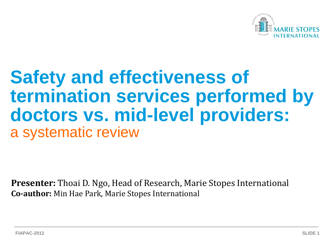

# **Safety and effectiveness of termination services performed by doctors vs. mid-level providers:** a systematic review

**Presenter:** Thoai D. Ngo, Head of Research, Marie Stopes International **Co-author:** Min Hae Park, Marie Stopes International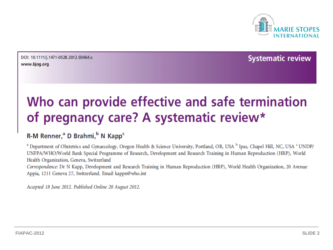

DOI: 10.1111/j.1471-0528.2012.03464.x www.bjog.org

**Systematic review** 

## Who can provide effective and safe termination of pregnancy care? A systematic review\*

#### R-M Renner,<sup>a</sup> D Brahmi,<sup>b</sup> N Kapp<sup>c</sup>

<sup>a</sup> Department of Obstetrics and Gynaecology, Oregon Health & Science University, Portland, OR, USA <sup>b</sup> Ipas, Chapel Hill, NC, USA <sup>c</sup> UNDP/ UNFPA/WHO/World Bank Special Programme of Research, Development and Research Training in Human Reproduction (HRP), World Health Organization, Geneva, Switzerland

Correspondence: Dr N Kapp, Development and Research Training in Human Reproduction (HRP), World Health Organization, 20 Avenue Appia, 1211 Geneva 27, Switzerland. Email kappn@who.int

Accepted 18 June 2012. Published Online 20 August 2012.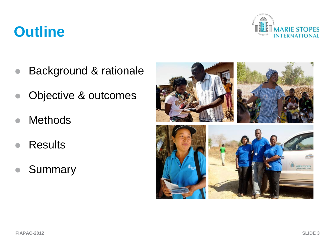## **Outline**



- Background & rationale
- Objective & outcomes
- **Methods**
- **Results**
- **Summary**

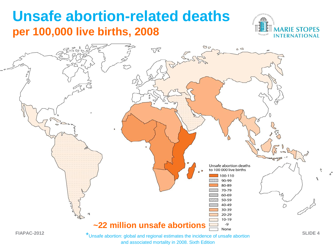## **Unsafe abortion-related deaths per 100,000 live births, 2008**





and associated mortality in 2008. Sixth Edition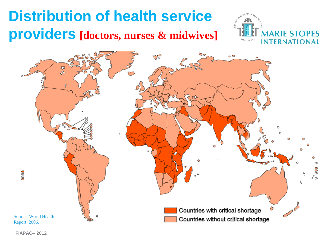# **Distribution of health service providers [doctors, nurses & midwives]**





**FIAPAC– 2012**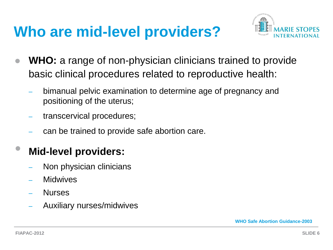## **Who are mid-level providers?**



- **WHO:** a range of non-physician clinicians trained to provide basic clinical procedures related to reproductive health:
	- bimanual pelvic examination to determine age of pregnancy and positioning of the uterus;
	- transcervical procedures;
	- can be trained to provide safe abortion care.

#### • **Mid-level providers:**

- Non physician clinicians
- **Midwives**
- Nurses
- Auxiliary nurses/midwives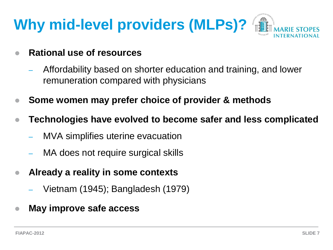

- **Rational use of resources** 
	- Affordability based on shorter education and training, and lower remuneration compared with physicians
- **Some women may prefer choice of provider & methods**
- **Technologies have evolved to become safer and less complicated**
	- MVA simplifies uterine evacuation
	- MA does not require surgical skills
- **Already a reality in some contexts** 
	- Vietnam (1945); Bangladesh (1979)
- **May improve safe access**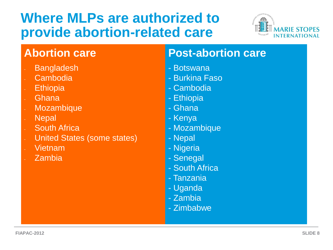## **Where MLPs are authorized to provide abortion-related care**



- **Bangladesh**
- **Cambodia**
- **Ethiopia**
- **Ghana**
- **Mozambique**
- **Nepal**
- **South Africa**
- United States (some states)
- Vietnam
- Zambia

#### **Abortion care Post-abortion care**

- Botswana
- Burkina Faso
- Cambodia
- Ethiopia
- Ghana
- Kenya
- Mozambique
- Nepal
- Nigeria
- Senegal
- South Africa
- Tanzania
- Uganda
- Zambia
- Zimbabwe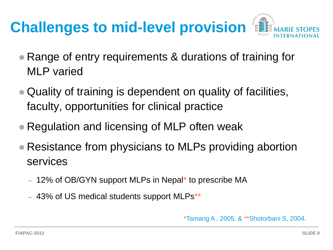# **Challenges to mid-level provision**



- Range of entry requirements & durations of training for MLP varied
- Quality of training is dependent on quality of facilities, faculty, opportunities for clinical practice
- Regulation and licensing of MLP often weak
- Resistance from physicians to MLPs providing abortion services
	- 12% of OB/GYN support MLPs in Nepal\* to prescribe MA
	- 43% of US medical students support MLPs\*\*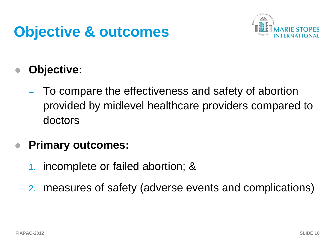# **Objective & outcomes**



### **Objective:**

– To compare the effectiveness and safety of abortion provided by midlevel healthcare providers compared to doctors

#### **Primary outcomes:**

- 1. incomplete or failed abortion; &
- 2. measures of safety (adverse events and complications)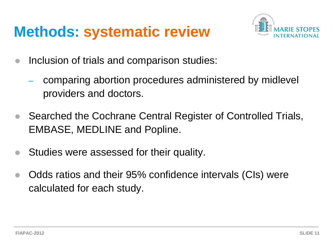## **Methods: systematic review**



- Inclusion of trials and comparison studies:
	- comparing abortion procedures administered by midlevel providers and doctors.
- Searched the Cochrane Central Register of Controlled Trials, EMBASE, MEDLINE and Popline.
- Studies were assessed for their quality.
- Odds ratios and their 95% confidence intervals (CIs) were calculated for each study.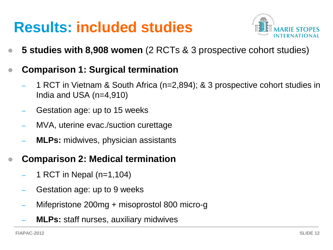# **Results: included studies**



- **5 studies with 8,908 women** (2 RCTs & 3 prospective cohort studies)
- **Comparison 1: Surgical termination**
	- 1 RCT in Vietnam & South Africa (n=2,894); & 3 prospective cohort studies in India and USA (n=4,910)
	- Gestation age: up to 15 weeks
	- MVA, uterine evac./suction curettage
	- **MLPs:** midwives, physician assistants
- **Comparison 2: Medical termination**
	- 1 RCT in Nepal (n=1,104)
	- Gestation age: up to 9 weeks
	- Mifepristone 200mg + misoprostol 800 micro-g
	- **MLPs:** staff nurses, auxiliary midwives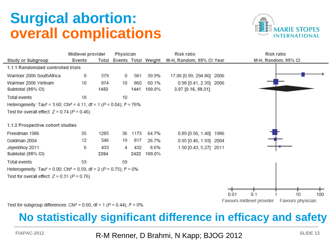## **Surgical abortion: overall complications**





Test for subgroup differences: Chi<sup>2</sup> = 0.60, df = 1 ( $P$  = 0.44),  $P$  = 0%

#### **No statistically significant difference in efficacy and safety**

**FIAPAC-2012 SLIDE 13** R-M Renner, D Brahmi, N Kapp; BJOG 2012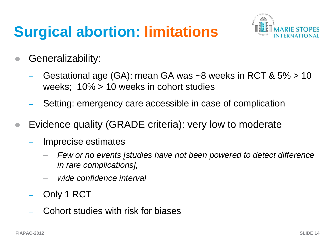# **Surgical abortion: limitations**



- Generalizability:
	- Gestational age (GA): mean GA was ~8 weeks in RCT & 5% > 10 weeks; 10% > 10 weeks in cohort studies
	- Setting: emergency care accessible in case of complication
- Evidence quality (GRADE criteria): very low to moderate
	- Imprecise estimates
		- *Few or no events [studies have not been powered to detect difference in rare complications],*
		- *wide confidence interval*
	- Only 1 RCT
	- Cohort studies with risk for biases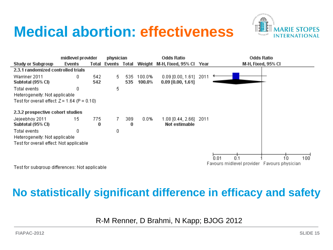## **Medical abortion: effectiveness**





Test for subgroup differences: Not applicable

#### **No statistically significant difference in efficacy and safety**

R-M Renner, D Brahmi, N Kapp; BJOG 2012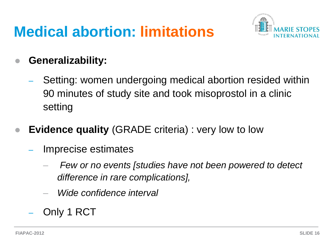# **Medical abortion: limitations**



#### **Generalizability:**

- Setting: women undergoing medical abortion resided within 90 minutes of study site and took misoprostol in a clinic setting
- **Evidence quality** (GRADE criteria) : very low to low
	- Imprecise estimates
		- *Few or no events [studies have not been powered to detect difference in rare complications],*
		- *Wide confidence interval*
	- Only 1 RCT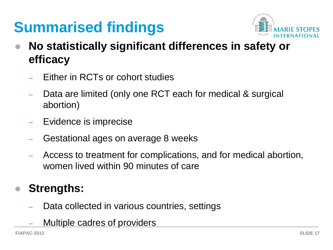# **Summarised findings**



- **No statistically significant differences in safety or efficacy**
	- Either in RCTs or cohort studies
	- Data are limited (only one RCT each for medical & surgical abortion)
	- Evidence is imprecise
	- Gestational ages on average 8 weeks
	- Access to treatment for complications, and for medical abortion, women lived within 90 minutes of care

#### **Strengths:**

- Data collected in various countries, settings
- Multiple cadres of providers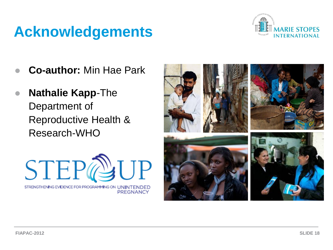## **Acknowledgements**



- **Co-author:** Min Hae Park
- **Nathalie Kapp**-The Department of Reproductive Health & Research-WHO